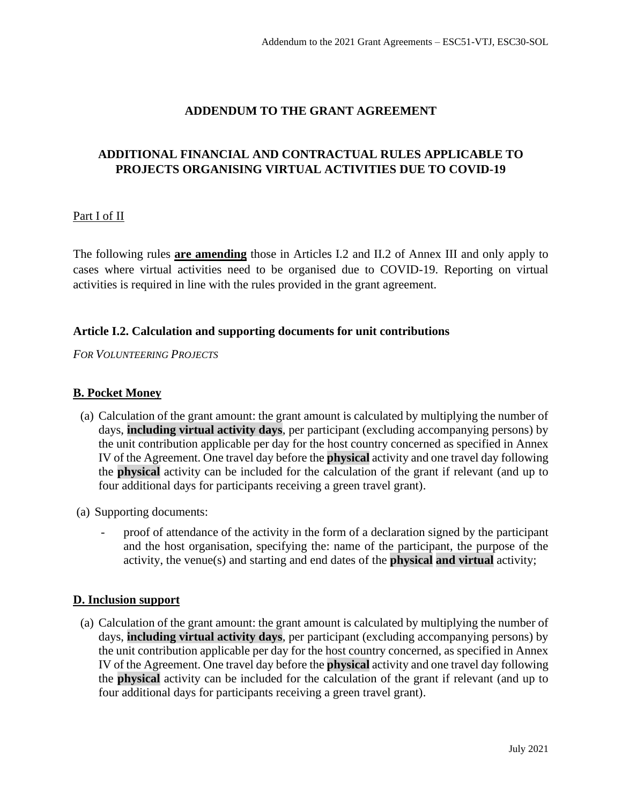# **ADDENDUM TO THE GRANT AGREEMENT**

# **ADDITIONAL FINANCIAL AND CONTRACTUAL RULES APPLICABLE TO PROJECTS ORGANISING VIRTUAL ACTIVITIES DUE TO COVID-19**

# Part I of II

The following rules **are amending** those in Articles I.2 and II.2 of Annex III and only apply to cases where virtual activities need to be organised due to COVID-19. Reporting on virtual activities is required in line with the rules provided in the grant agreement.

### **Article I.2. Calculation and supporting documents for unit contributions**

*FOR VOLUNTEERING PROJECTS*

### **B. Pocket Money**

- (a) Calculation of the grant amount: the grant amount is calculated by multiplying the number of days, **including virtual activity days**, per participant (excluding accompanying persons) by the unit contribution applicable per day for the host country concerned as specified in Annex IV of the Agreement. One travel day before the **physical** activity and one travel day following the **physical** activity can be included for the calculation of the grant if relevant (and up to four additional days for participants receiving a green travel grant).
- (a) Supporting documents:
	- proof of attendance of the activity in the form of a declaration signed by the participant and the host organisation, specifying the: name of the participant, the purpose of the activity, the venue(s) and starting and end dates of the **physical and virtual** activity;

### **D. Inclusion support**

(a) Calculation of the grant amount: the grant amount is calculated by multiplying the number of days, **including virtual activity days**, per participant (excluding accompanying persons) by the unit contribution applicable per day for the host country concerned, as specified in Annex IV of the Agreement. One travel day before the **physical** activity and one travel day following the **physical** activity can be included for the calculation of the grant if relevant (and up to four additional days for participants receiving a green travel grant).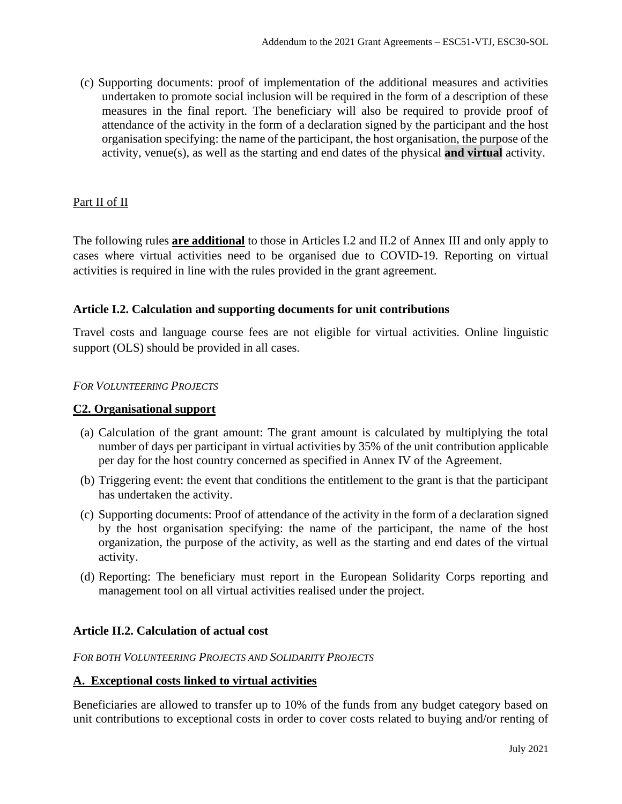(c) Supporting documents: proof of implementation of the additional measures and activities undertaken to promote social inclusion will be required in the form of a description of these measures in the final report. The beneficiary will also be required to provide proof of attendance of the activity in the form of a declaration signed by the participant and the host organisation specifying: the name of the participant, the host organisation, the purpose of the activity, venue(s), as well as the starting and end dates of the physical **and virtual** activity.

### Part II of II

The following rules **are additional** to those in Articles I.2 and II.2 of Annex III and only apply to cases where virtual activities need to be organised due to COVID-19. Reporting on virtual activities is required in line with the rules provided in the grant agreement.

# **Article I.2. Calculation and supporting documents for unit contributions**

Travel costs and language course fees are not eligible for virtual activities. Online linguistic support (OLS) should be provided in all cases.

### *FOR VOLUNTEERING PROJECTS*

### **C2. Organisational support**

- (a) Calculation of the grant amount: The grant amount is calculated by multiplying the total number of days per participant in virtual activities by 35% of the unit contribution applicable per day for the host country concerned as specified in Annex IV of the Agreement.
- (b) Triggering event: the event that conditions the entitlement to the grant is that the participant has undertaken the activity.
- (c) Supporting documents: Proof of attendance of the activity in the form of a declaration signed by the host organisation specifying: the name of the participant, the name of the host organization, the purpose of the activity, as well as the starting and end dates of the virtual activity.
- (d) Reporting: The beneficiary must report in the European Solidarity Corps reporting and management tool on all virtual activities realised under the project.

### **Article II.2. Calculation of actual cost**

*FOR BOTH VOLUNTEERING PROJECTS AND SOLIDARITY PROJECTS*

#### **A. Exceptional costs linked to virtual activities**

Beneficiaries are allowed to transfer up to 10% of the funds from any budget category based on unit contributions to exceptional costs in order to cover costs related to buying and/or renting of